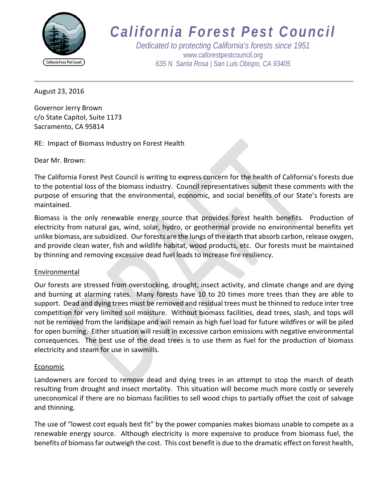

# *California Forest Pest Council*

*Dedicated to protecting California's forests since 1951* [www.caforestpestcouncil.org](http://www.caforestpestcouncil.org/) *635 N. Santa Rosa | San Luis Obispo, CA 93405*

August 23, 2016

Governor Jerry Brown c/o State Capitol, Suite 1173 Sacramento, CA 95814

RE: Impact of Biomass Industry on Forest Health

Dear Mr. Brown:

The California Forest Pest Council is writing to express concern for the health of California's forests due to the potential loss of the biomass industry. Council representatives submit these comments with the purpose of ensuring that the environmental, economic, and social benefits of our State's forests are maintained.

Biomass is the only renewable energy source that provides forest health benefits. Production of electricity from natural gas, wind, solar, hydro, or geothermal provide no environmental benefits yet unlike biomass, are subsidized. Our forests are the lungs of the earth that absorb carbon, release oxygen, and provide clean water, fish and wildlife habitat, wood products, etc. Our forests must be maintained by thinning and removing excessive dead fuel loads to increase fire resiliency.

# Environmental

Our forests are stressed from overstocking, drought, insect activity, and climate change and are dying and burning at alarming rates. Many forests have 10 to 20 times more trees than they are able to support. Dead and dying trees must be removed and residual trees must be thinned to reduce inter tree competition for very limited soil moisture. Without biomass facilities, dead trees, slash, and tops will not be removed from the landscape and will remain as high fuel load for future wildfires or will be piled for open burning. Either situation will result in excessive carbon emissions with negative environmental consequences. The best use of the dead trees is to use them as fuel for the production of biomass electricity and steam for use in sawmills.

#### Economic

Landowners are forced to remove dead and dying trees in an attempt to stop the march of death resulting from drought and insect mortality. This situation will become much more costly or severely uneconomical if there are no biomass facilities to sell wood chips to partially offset the cost of salvage and thinning.

The use of "lowest cost equals best fit" by the power companies makes biomass unable to compete as a renewable energy source. Although electricity is more expensive to produce from biomass fuel, the benefits of biomass far outweigh the cost. This cost benefit is due to the dramatic effect on forest health,